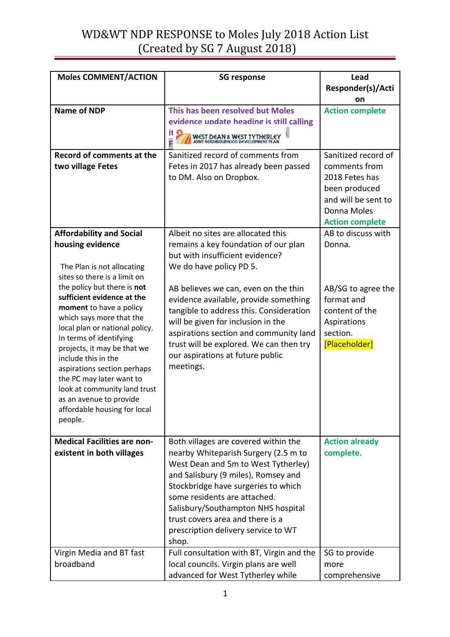## WD&WT NDP RESPONSE to Moles July 2018 Action List (Created by SG 7 August 2018)

| <b>Moles COMMENT/ACTION</b>                               | <b>SG response</b>                                                            | Lead                                         |
|-----------------------------------------------------------|-------------------------------------------------------------------------------|----------------------------------------------|
|                                                           |                                                                               | Responder(s)/Acti                            |
|                                                           |                                                                               | on                                           |
| <b>Name of NDP</b>                                        | This has been resolved but Moles                                              | <b>Action complete</b>                       |
|                                                           | evidence undate heading is still calling                                      |                                              |
|                                                           | <b>WEST DEAN &amp; WEST TYTHERLEY</b><br>JOINT NEIGHBOURHOOD DEVELOPMENT PLAN |                                              |
| Record of comments at the                                 | Sanitized record of comments from                                             | Sanitized record of                          |
| two village Fetes                                         | Fetes in 2017 has already been passed                                         | comments from                                |
|                                                           | to DM. Also on Dropbox.                                                       | 2018 Fetes has                               |
|                                                           |                                                                               | been produced                                |
|                                                           |                                                                               | and will be sent to                          |
|                                                           |                                                                               | Donna Moles                                  |
|                                                           | Albeit no sites are allocated this                                            | <b>Action complete</b><br>AB to discuss with |
| <b>Affordability and Social</b><br>housing evidence       | remains a key foundation of our plan                                          | Donna.                                       |
|                                                           | but with insufficient evidence?                                               |                                              |
| The Plan is not allocating                                | We do have policy PD 5.                                                       |                                              |
| sites so there is a limit on                              |                                                                               |                                              |
| the policy but there is not                               | AB believes we can, even on the thin                                          | AB/SG to agree the                           |
| sufficient evidence at the                                | evidence available, provide something                                         | format and                                   |
| moment to have a policy                                   | tangible to address this. Consideration                                       | content of the                               |
| which says more that the                                  | will be given for inclusion in the                                            | Aspirations                                  |
| local plan or national policy.<br>In terms of identifying | aspirations section and community land                                        | section.                                     |
| projects, it may be that we                               | trust will be explored. We can then try                                       | [Placeholder]                                |
| include this in the                                       | our aspirations at future public                                              |                                              |
| aspirations section perhaps                               | meetings.                                                                     |                                              |
| the PC may later want to                                  |                                                                               |                                              |
| look at community land trust                              |                                                                               |                                              |
| as an avenue to provide<br>affordable housing for local   |                                                                               |                                              |
| people.                                                   |                                                                               |                                              |
|                                                           |                                                                               |                                              |
| <b>Medical Facilities are non-</b>                        | Both villages are covered within the                                          | <b>Action already</b>                        |
| existent in both villages                                 | nearby Whiteparish Surgery (2.5 m to                                          | complete.                                    |
|                                                           | West Dean and 5m to West Tytherley)                                           |                                              |
|                                                           | and Salisbury (9 miles), Romsey and                                           |                                              |
|                                                           | Stockbridge have surgeries to which                                           |                                              |
|                                                           | some residents are attached.                                                  |                                              |
|                                                           | Salisbury/Southampton NHS hospital<br>trust covers area and there is a        |                                              |
|                                                           | prescription delivery service to WT                                           |                                              |
|                                                           | shop.                                                                         |                                              |
| Virgin Media and BT fast                                  | Full consultation with BT, Virgin and the                                     | SG to provide                                |
| broadband                                                 | local councils. Virgin plans are well                                         | more                                         |
|                                                           | advanced for West Tytherley while                                             | comprehensive                                |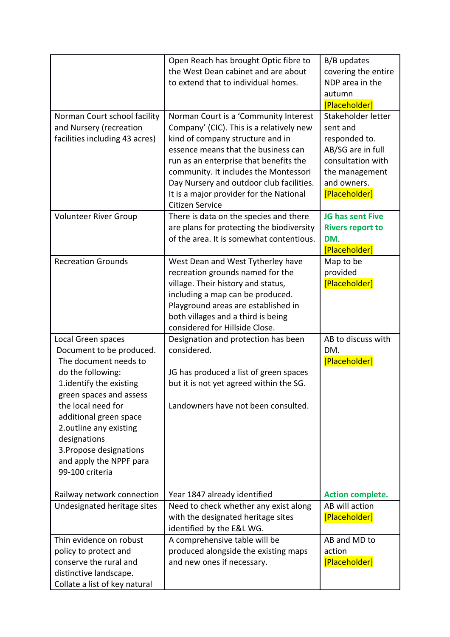|                                                                                                                                                                                                                                                                                                                       | Open Reach has brought Optic fibre to<br>the West Dean cabinet and are about<br>to extend that to individual homes.                                                                                                                                                                                                                                       | B/B updates<br>covering the entire<br>NDP area in the<br>autumn<br>[Placeholder]                                                            |
|-----------------------------------------------------------------------------------------------------------------------------------------------------------------------------------------------------------------------------------------------------------------------------------------------------------------------|-----------------------------------------------------------------------------------------------------------------------------------------------------------------------------------------------------------------------------------------------------------------------------------------------------------------------------------------------------------|---------------------------------------------------------------------------------------------------------------------------------------------|
| Norman Court school facility<br>and Nursery (recreation<br>facilities including 43 acres)                                                                                                                                                                                                                             | Norman Court is a 'Community Interest<br>Company' (CIC). This is a relatively new<br>kind of company structure and in<br>essence means that the business can<br>run as an enterprise that benefits the<br>community. It includes the Montessori<br>Day Nursery and outdoor club facilities.<br>It is a major provider for the National<br>Citizen Service | Stakeholder letter<br>sent and<br>responded to.<br>AB/SG are in full<br>consultation with<br>the management<br>and owners.<br>[Placeholder] |
| <b>Volunteer River Group</b>                                                                                                                                                                                                                                                                                          | There is data on the species and there<br>are plans for protecting the biodiversity<br>of the area. It is somewhat contentious.                                                                                                                                                                                                                           | JG has sent Five<br><b>Rivers report to</b><br>DM.<br>[Placeholder]                                                                         |
| <b>Recreation Grounds</b>                                                                                                                                                                                                                                                                                             | West Dean and West Tytherley have<br>recreation grounds named for the<br>village. Their history and status,<br>including a map can be produced.<br>Playground areas are established in<br>both villages and a third is being<br>considered for Hillside Close.                                                                                            | Map to be<br>provided<br>[Placeholder]                                                                                                      |
| Local Green spaces<br>Document to be produced.<br>The document needs to<br>do the following:<br>1.identify the existing<br>green spaces and assess<br>the local need for<br>additional green space<br>2.outline any existing<br>designations<br>3. Propose designations<br>and apply the NPPF para<br>99-100 criteria | Designation and protection has been<br>considered.<br>JG has produced a list of green spaces<br>but it is not yet agreed within the SG.<br>Landowners have not been consulted.                                                                                                                                                                            | AB to discuss with<br>DM.<br>[Placeholder]                                                                                                  |
| Railway network connection<br>Undesignated heritage sites                                                                                                                                                                                                                                                             | Year 1847 already identified<br>Need to check whether any exist along<br>with the designated heritage sites<br>identified by the E&L WG.                                                                                                                                                                                                                  | <b>Action complete.</b><br>AB will action<br>[Placeholder]                                                                                  |
| Thin evidence on robust<br>policy to protect and<br>conserve the rural and<br>distinctive landscape.<br>Collate a list of key natural                                                                                                                                                                                 | A comprehensive table will be<br>produced alongside the existing maps<br>and new ones if necessary.                                                                                                                                                                                                                                                       | AB and MD to<br>action<br>[Placeholder]                                                                                                     |